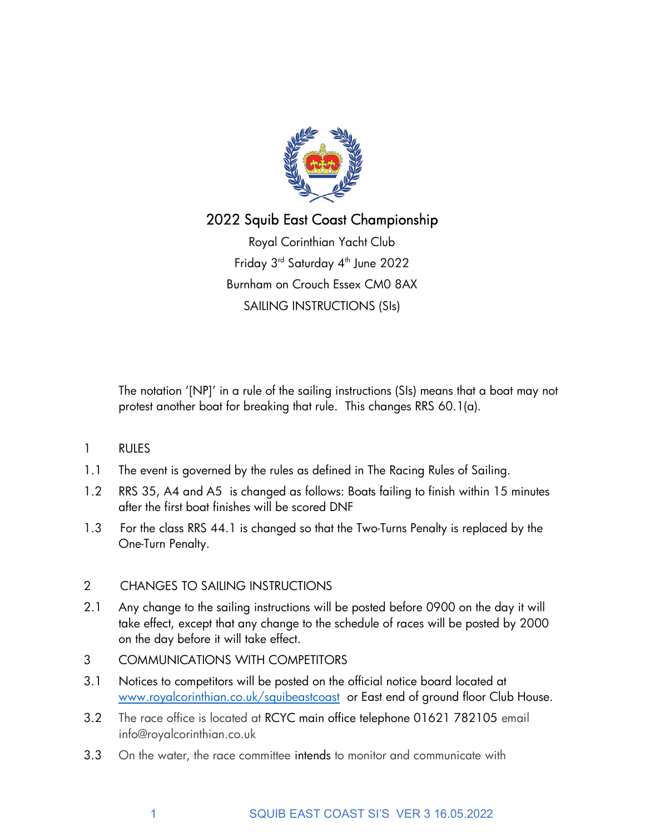

# 2022 Squib East Coast Championship

Royal Corinthian Yacht Club Friday 3<sup>rd</sup> Saturday 4<sup>th</sup> June 2022 Burnham on Crouch Essex CM0 8AX SAILING INSTRUCTIONS (SIs)

 The notation '[NP]' in a rule of the sailing instructions (SIs) means that a boat may not protest another boat for breaking that rule. This changes RRS 60.1(a).

- 1 RULES
- 1.1 The event is governed by the rules as defined in The Racing Rules of Sailing.
- 1.2 RRS 35, A4 and A5 is changed as follows: Boats failing to finish within 15 minutes after the first boat finishes will be scored DNF
- 1.3 For the class RRS 44.1 is changed so that the Two-Turns Penalty is replaced by the One-Turn Penalty.

## 2 CHANGES TO SAILING INSTRUCTIONS

- 2.1 Any change to the sailing instructions will be posted before 0900 on the day it will take effect, except that any change to the schedule of races will be posted by 2000 on the day before it will take effect.
- 3 COMMUNICATIONS WITH COMPETITORS
- 3.1 Notices to competitors will be posted on the official notice board located at www.royalcorinthian.co.uk/squibeastcoast or East end of ground floor Club House.
- 3.2 The race office is located at RCYC main office telephone 01621 782105 email info@royalcorinthian.co.uk
- 3.3 On the water, the race committee intends to monitor and communicate with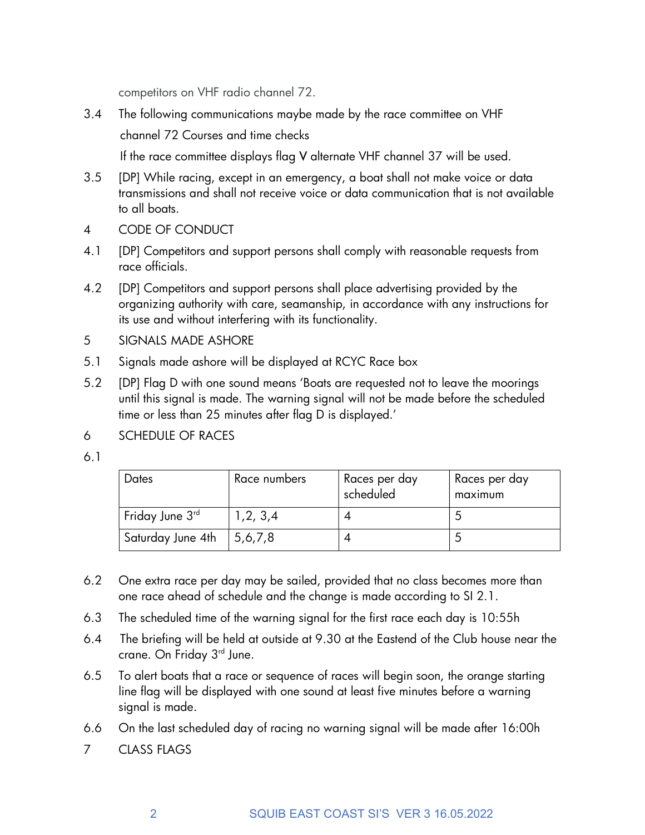competitors on VHF radio channel 72.

3.4 The following communications maybe made by the race committee on VHF channel 72 Courses and time checks

If the race committee displays flag V alternate VHF channel 37 will be used.

- 3.5 [DP] While racing, except in an emergency, a boat shall not make voice or data transmissions and shall not receive voice or data communication that is not available to all boats.
- 4 CODE OF CONDUCT
- 4.1 [DP] Competitors and support persons shall comply with reasonable requests from race officials.
- 4.2 [DP] Competitors and support persons shall place advertising provided by the organizing authority with care, seamanship, in accordance with any instructions for its use and without interfering with its functionality.
- 5 SIGNALS MADE ASHORE
- 5.1 Signals made ashore will be displayed at RCYC Race box
- 5.2 [DP] Flag D with one sound means 'Boats are requested not to leave the moorings until this signal is made. The warning signal will not be made before the scheduled time or less than 25 minutes after flag D is displayed.'
- 6 SCHEDULE OF RACES
- 6.1

| $\bm{\mathsf{D}}$ ates      | Race numbers | Races per day<br>scheduled | Races per day<br>maximum |
|-----------------------------|--------------|----------------------------|--------------------------|
| Friday June 3 <sup>rd</sup> | 1,2, 3,4     |                            |                          |
| Saturday June 4th           | 5,6,7,8      |                            |                          |

- 6.2 One extra race per day may be sailed, provided that no class becomes more than one race ahead of schedule and the change is made according to SI 2.1.
- 6.3 The scheduled time of the warning signal for the first race each day is 10:55h
- 6.4 The briefing will be held at outside at 9.30 at the Eastend of the Club house near the crane. On Friday 3<sup>rd</sup> June.
- 6.5 To alert boats that a race or sequence of races will begin soon, the orange starting line flag will be displayed with one sound at least five minutes before a warning signal is made.
- 6.6 On the last scheduled day of racing no warning signal will be made after 16:00h
- 7 CLASS FLAGS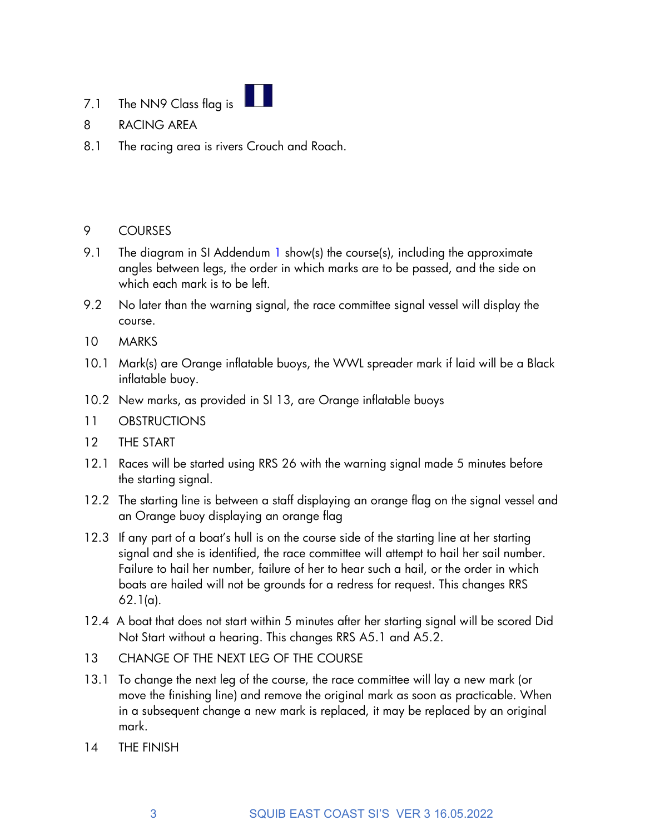- 7.1 The NN9 Class flag is
- 8 RACING AREA
- 8.1 The racing area is rivers Crouch and Roach.

### 9 COURSES

- 9.1 The diagram in SI Addendum 1 show(s) the course(s), including the approximate angles between legs, the order in which marks are to be passed, and the side on which each mark is to be left.
- 9.2 No later than the warning signal, the race committee signal vessel will display the course.
- 10 MARKS
- 10.1 Mark(s) are Orange inflatable buoys, the WWL spreader mark if laid will be a Black inflatable buoy.
- 10.2 New marks, as provided in SI 13, are Orange inflatable buoys
- 11 OBSTRUCTIONS
- 12 THE START
- 12.1 Races will be started using RRS 26 with the warning signal made 5 minutes before the starting signal.
- 12.2 The starting line is between a staff displaying an orange flag on the signal vessel and an Orange buoy displaying an orange flag
- 12.3 If any part of a boat's hull is on the course side of the starting line at her starting signal and she is identified, the race committee will attempt to hail her sail number. Failure to hail her number, failure of her to hear such a hail, or the order in which boats are hailed will not be grounds for a redress for request. This changes RRS 62.1(a).
- 12.4 A boat that does not start within 5 minutes after her starting signal will be scored Did Not Start without a hearing. This changes RRS A5.1 and A5.2.
- 13 CHANGE OF THE NEXT LEG OF THE COURSE
- 13.1 To change the next leg of the course, the race committee will lay a new mark (or move the finishing line) and remove the original mark as soon as practicable. When in a subsequent change a new mark is replaced, it may be replaced by an original mark.
- 14 THE FINISH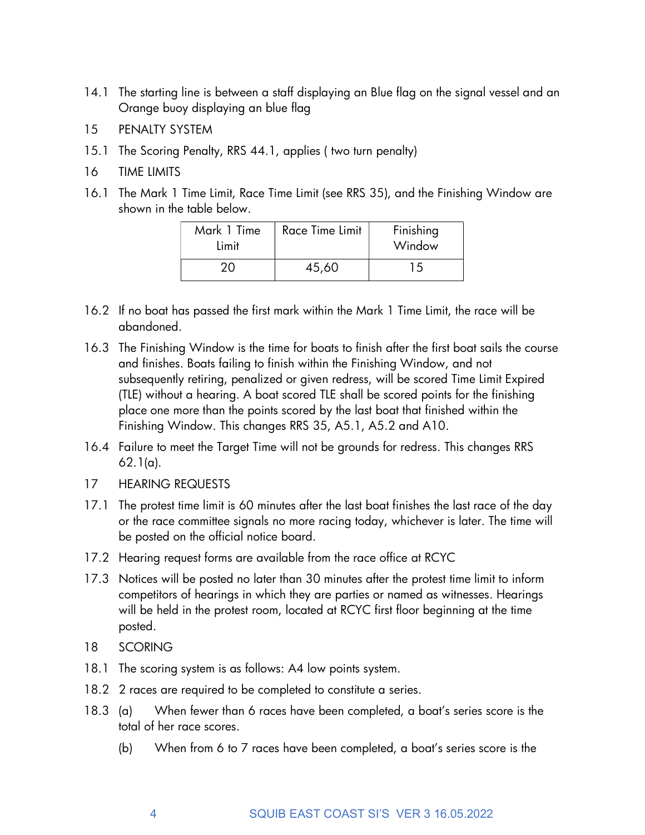- 14.1 The starting line is between a staff displaying an Blue flag on the signal vessel and an Orange buoy displaying an blue flag
- 15 PENALTY SYSTEM
- 15.1 The Scoring Penalty, RRS 44.1, applies ( two turn penalty)
- 16 TIME LIMITS
- 16.1 The Mark 1 Time Limit, Race Time Limit (see RRS 35), and the Finishing Window are shown in the table below.

| Mark 1 Time<br>Limit | Race Time Limit | Finishing<br>Window |
|----------------------|-----------------|---------------------|
|                      | 45,60           | 15                  |

- 16.2 If no boat has passed the first mark within the Mark 1 Time Limit, the race will be abandoned.
- 16.3 The Finishing Window is the time for boats to finish after the first boat sails the course and finishes. Boats failing to finish within the Finishing Window, and not subsequently retiring, penalized or given redress, will be scored Time Limit Expired (TLE) without a hearing. A boat scored TLE shall be scored points for the finishing place one more than the points scored by the last boat that finished within the Finishing Window. This changes RRS 35, A5.1, A5.2 and A10.
- 16.4 Failure to meet the Target Time will not be grounds for redress. This changes RRS 62.1(a).
- 17 HEARING REQUESTS
- 17.1 The protest time limit is 60 minutes after the last boat finishes the last race of the day or the race committee signals no more racing today, whichever is later. The time will be posted on the official notice board.
- 17.2 Hearing request forms are available from the race office at RCYC
- 17.3 Notices will be posted no later than 30 minutes after the protest time limit to inform competitors of hearings in which they are parties or named as witnesses. Hearings will be held in the protest room, located at RCYC first floor beginning at the time posted.
- 18 SCORING
- 18.1 The scoring system is as follows: A4 low points system.
- 18.2 2 races are required to be completed to constitute a series.
- 18.3 (a) When fewer than 6 races have been completed, a boat's series score is the total of her race scores.
	- (b) When from 6 to 7 races have been completed, a boat's series score is the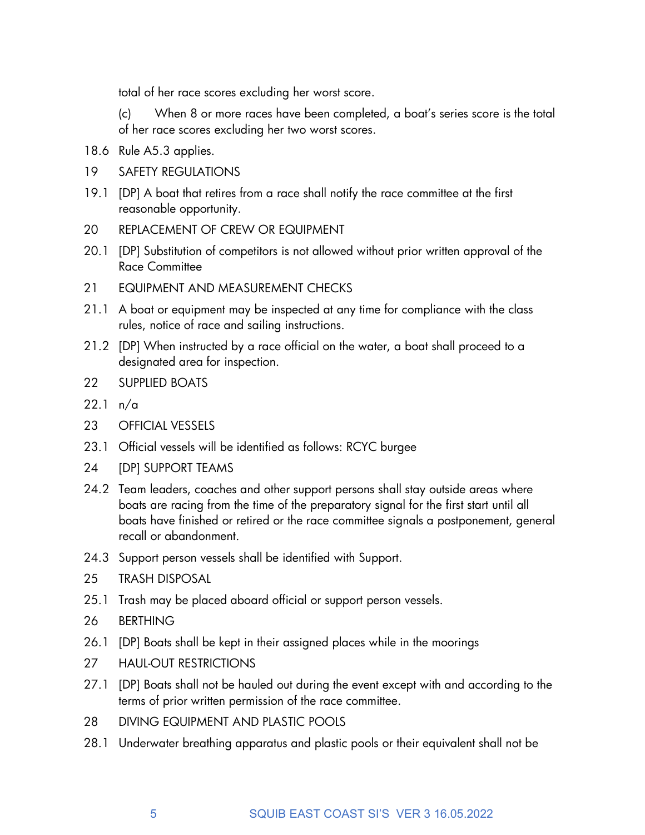total of her race scores excluding her worst score.

 (c) When 8 or more races have been completed, a boat's series score is the total of her race scores excluding her two worst scores.

- 18.6 Rule A5.3 applies.
- 19 SAFETY REGULATIONS
- 19.1 [DP] A boat that retires from a race shall notify the race committee at the first reasonable opportunity.
- 20 REPLACEMENT OF CREW OR EQUIPMENT
- 20.1 [DP] Substitution of competitors is not allowed without prior written approval of the Race Committee
- 21 EQUIPMENT AND MEASUREMENT CHECKS
- 21.1 A boat or equipment may be inspected at any time for compliance with the class rules, notice of race and sailing instructions.
- 21.2 [DP] When instructed by a race official on the water, a boat shall proceed to a designated area for inspection.
- 22 SUPPLIED BOATS
- 22.1 n/a
- 23 OFFICIAL VESSELS
- 23.1 Official vessels will be identified as follows: RCYC burgee
- 24 [DP] SUPPORT TEAMS
- 24.2 Team leaders, coaches and other support persons shall stay outside areas where boats are racing from the time of the preparatory signal for the first start until all boats have finished or retired or the race committee signals a postponement, general recall or abandonment.
- 24.3 Support person vessels shall be identified with Support.
- 25 TRASH DISPOSAL
- 25.1 Trash may be placed aboard official or support person vessels.
- 26 BERTHING
- 26.1 [DP] Boats shall be kept in their assigned places while in the moorings
- 27 HAUL-OUT RESTRICTIONS
- 27.1 [DP] Boats shall not be hauled out during the event except with and according to the terms of prior written permission of the race committee.
- 28 DIVING EQUIPMENT AND PLASTIC POOLS
- 28.1 Underwater breathing apparatus and plastic pools or their equivalent shall not be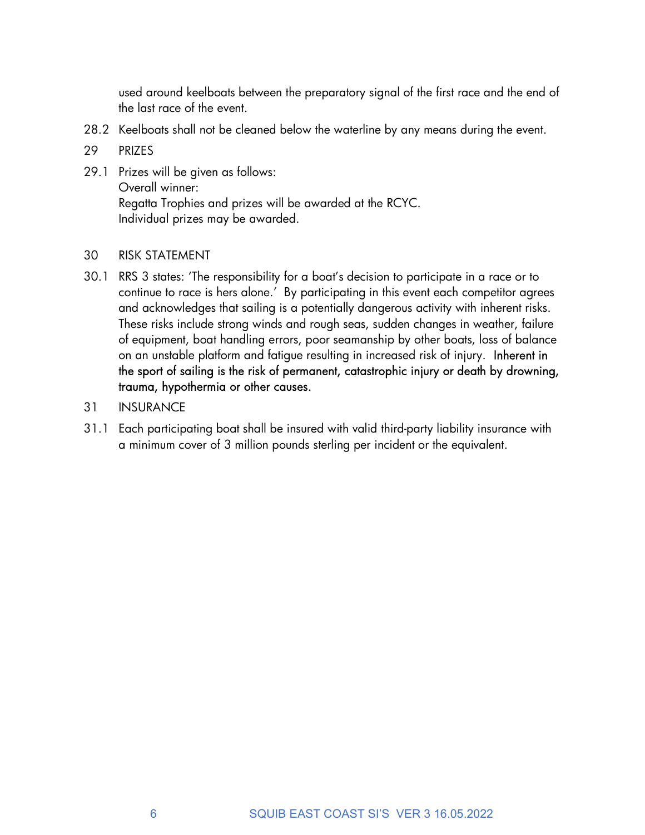used around keelboats between the preparatory signal of the first race and the end of the last race of the event.

- 28.2 Keelboats shall not be cleaned below the waterline by any means during the event.
- 29 PRIZES
- 29.1 Prizes will be given as follows: Overall winner: Regatta Trophies and prizes will be awarded at the RCYC. Individual prizes may be awarded.

#### 30 RISK STATEMENT

- 30.1 RRS 3 states: 'The responsibility for a boat's decision to participate in a race or to continue to race is hers alone.' By participating in this event each competitor agrees and acknowledges that sailing is a potentially dangerous activity with inherent risks. These risks include strong winds and rough seas, sudden changes in weather, failure of equipment, boat handling errors, poor seamanship by other boats, loss of balance on an unstable platform and fatigue resulting in increased risk of injury. Inherent in the sport of sailing is the risk of permanent, catastrophic injury or death by drowning, trauma, hypothermia or other causes.
- 31 INSURANCE
- 31.1 Each participating boat shall be insured with valid third-party liability insurance with a minimum cover of 3 million pounds sterling per incident or the equivalent.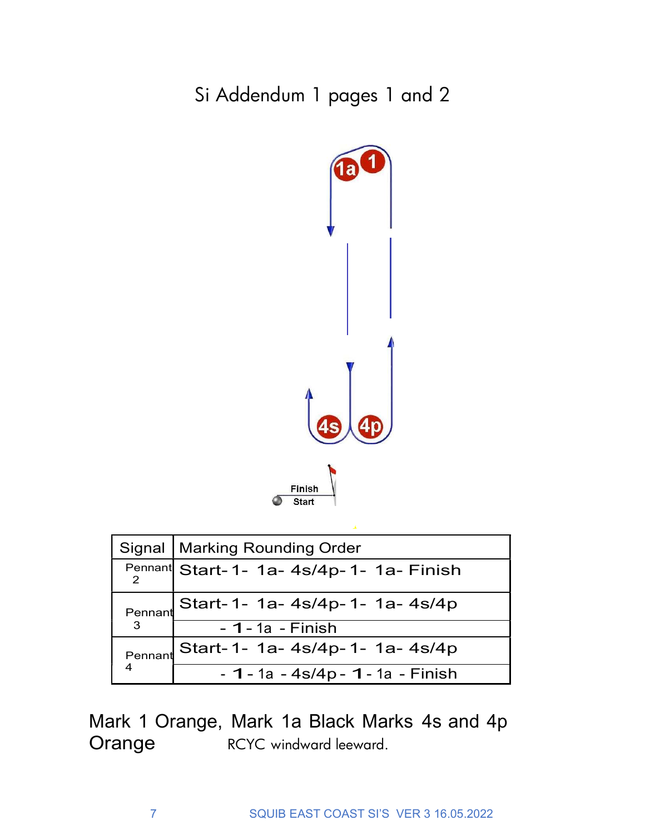Si Addendum 1 pages 1 and 2



|         | Signal   Marking Rounding Order          |  |
|---------|------------------------------------------|--|
|         | Pennant Start-1- 1a- 4s/4p-1- 1a- Finish |  |
| Pennant | Start-1- 1a- 4s/4p-1- 1a- 4s/4p          |  |
| 3       | $-1 - 1a - Finish$                       |  |
| Pennant | Start-1- 1a- 4s/4p-1- 1a- 4s/4p          |  |
| 4       | $-1 - 1a - 4s/4p - 1 - 1a - Finish$      |  |

Mark 1 Orange, Mark 1a Black Marks 4s and 4p Orange RCYC windward leeward.